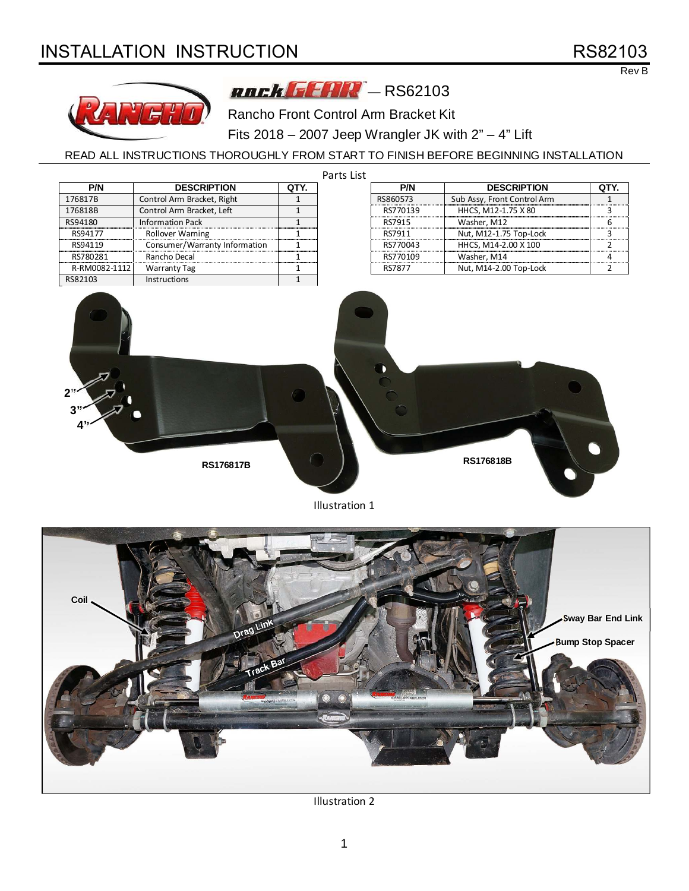# INSTALLATION INSTRUCTION **RS82103**

# Rev B





Rancho Front Control Arm Bracket Kit

Fits 2018 – 2007 Jeep Wrangler JK with 2" – 4" Lift

READ ALL INSTRUCTIONS THOROUGHLY FROM START TO FINISH BEFORE BEGINNING INSTALLATION

| Parts List    |                               |              |          |          |                             |                |
|---------------|-------------------------------|--------------|----------|----------|-----------------------------|----------------|
| P/N           | <b>DESCRIPTION</b>            | QTY.         |          | P/N      | <b>DESCRIPTION</b>          | QTY.           |
| 176817B       | Control Arm Bracket, Right    | $\mathbf{1}$ | RS860573 |          | Sub Assy, Front Control Arm | $\mathbf{1}$   |
| 176818B       | Control Arm Bracket, Left     | $\mathbf{1}$ |          | RS770139 | HHCS, M12-1.75 X 80         | 3              |
| RS94180       | <b>Information Pack</b>       | $\mathbf 1$  | RS7915   |          | Washer, M12                 | 6              |
| RS94177       | Rollover Warning              | $\mathbf{1}$ | RS7911   |          | Nut, M12-1.75 Top-Lock      | 3              |
| RS94119       | Consumer/Warranty Information | 1            |          | RS770043 | HHCS, M14-2.00 X 100        | 2              |
| RS780281      | Rancho Decal                  | $\mathbf{1}$ |          | RS770109 | Washer, M14                 | 4              |
| R-RM0082-1112 | <b>Warranty Tag</b>           | 1            | RS7877   |          | Nut, M14-2.00 Top-Lock      | $\overline{2}$ |
| RS82103       | Instructions                  | $\mathbf{1}$ |          |          |                             |                |
| $4$ "         | <b>RS176817B</b>              |              |          |          | RS176818B                   |                |

Illustration 1



Illustration 2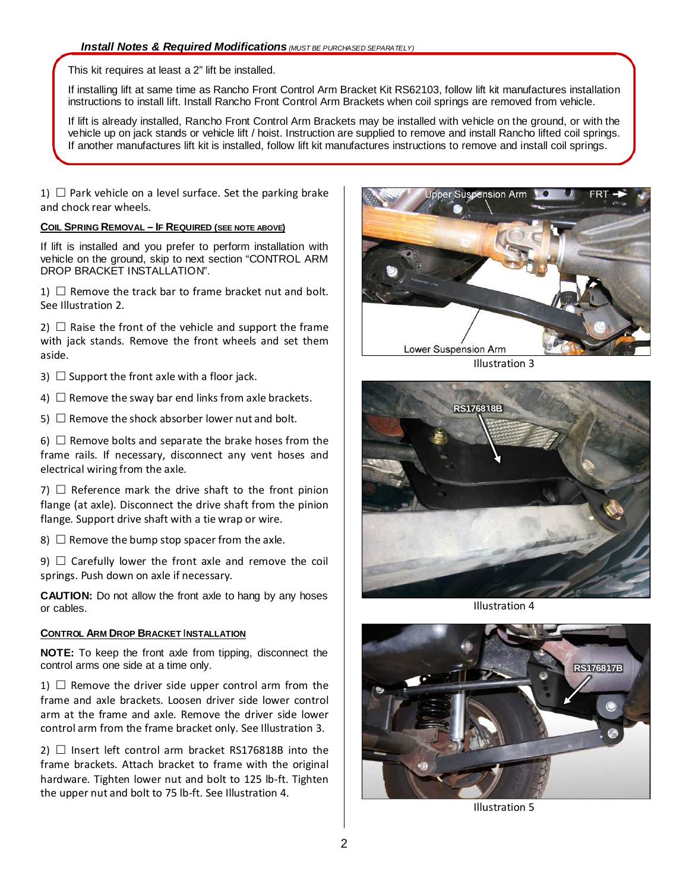This kit requires at least a 2" lift be installed.

If installing lift at same time as Rancho Front Control Arm Bracket Kit RS62103, follow lift kit manufactures installation instructions to install lift. Install Rancho Front Control Arm Brackets when coil springs are removed from vehicle.

If lift is already installed, Rancho Front Control Arm Brackets may be installed with vehicle on the ground, or with the vehicle up on jack stands or vehicle lift / hoist. Instruction are supplied to remove and install Rancho lifted coil springs. If another manufactures lift kit is installed, follow lift kit manufactures instructions to remove and install coil springs.

1)  $\Box$  Park vehicle on a level surface. Set the parking brake and chock rear wheels.

#### **COIL SPRING REMOVAL – IF REQUIRED (SEE NOTE ABOVE)**

If lift is installed and you prefer to perform installation with vehicle on the ground, skip to next section "CONTROL ARM DROP BRACKET INSTALLATION".

1)  $\Box$  Remove the track bar to frame bracket nut and bolt. See Illustration 2.

2)  $\Box$  Raise the front of the vehicle and support the frame with jack stands. Remove the front wheels and set them aside.

3)  $\Box$  Support the front axle with a floor jack.

4)  $\Box$  Remove the sway bar end links from axle brackets.

5)  $\Box$  Remove the shock absorber lower nut and bolt.

6)  $\Box$  Remove bolts and separate the brake hoses from the frame rails. If necessary, disconnect any vent hoses and electrical wiring from the axle.

7)  $\Box$  Reference mark the drive shaft to the front pinion flange (at axle). Disconnect the drive shaft from the pinion flange. Support drive shaft with a tie wrap or wire.

8)  $\Box$  Remove the bump stop spacer from the axle.

9)  $\Box$  Carefully lower the front axle and remove the coil springs. Push down on axle if necessary.

**CAUTION:** Do not allow the front axle to hang by any hoses or cables.

#### **CONTROL ARM DROP BRACKET** I**NSTALLATION**

**NOTE:** To keep the front axle from tipping, disconnect the control arms one side at a time only.

1)  $\Box$  Remove the driver side upper control arm from the frame and axle brackets. Loosen driver side lower control arm at the frame and axle. Remove the driver side lower control arm from the frame bracket only. See Illustration 3.

2)  $\Box$  Insert left control arm bracket RS176818B into the frame brackets. Attach bracket to frame with the original hardware. Tighten lower nut and bolt to 125 lb-ft. Tighten the upper nut and bolt to 75 lb-ft. See Illustration 4.



Illustration 3



Illustration 4



Illustration 5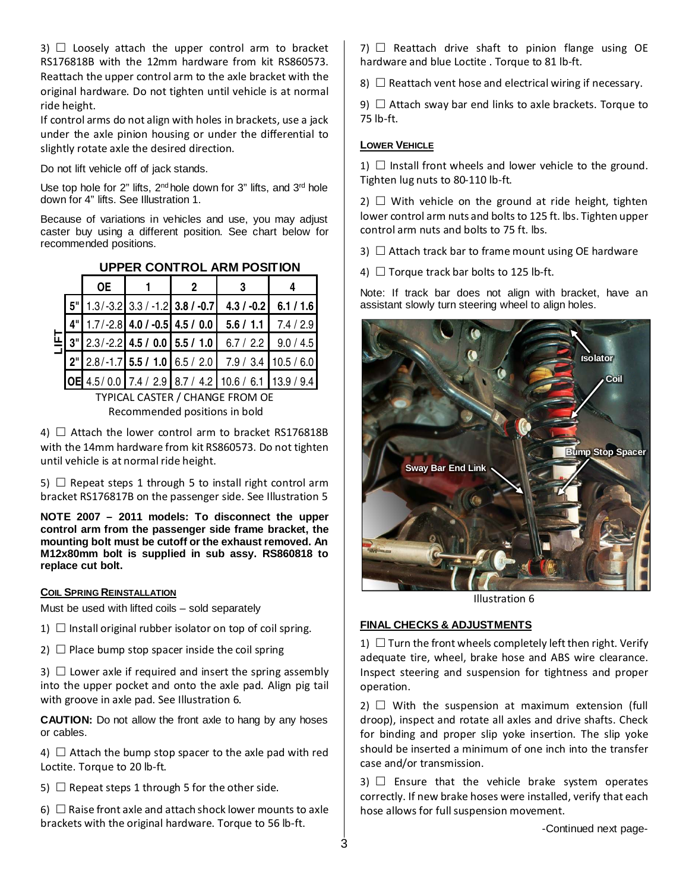3)  $\Box$  Loosely attach the upper control arm to bracket RS176818B with the 12mm hardware from kit RS860573. Reattach the upper control arm to the axle bracket with the original hardware. Do not tighten until vehicle is at normal ride height.

If control arms do not align with holes in brackets, use a jack under the axle pinion housing or under the differential to slightly rotate axle the desired direction.

Do not lift vehicle off of jack stands.

Use top hole for  $2$ " lifts,  $2^{nd}$  hole down for  $3$ " lifts, and  $3^{rd}$  hole down for 4" lifts. See Illustration 1.

Because of variations in vehicles and use, you may adjust caster buy using a different position. See chart below for recommended positions.

|   | <b>OE</b> | 2 | 3                                                                |  |
|---|-----------|---|------------------------------------------------------------------|--|
|   |           |   | $5''$ 1.3/-3.2 3.3/-1.2 3.8/-0.7 4.3/-0.2 6.1/1.6                |  |
|   |           |   | $4"$   1.7/-2.8   4.0 / -0.5   4.5 / 0.0   5.6 / 1.1   7.4 / 2.9 |  |
| 뎍 |           |   | $3''$ 2.3/-2.2 4.5 / 0.0 5.5 / 1.0 6.7 / 2.2 9.0 / 4.5           |  |
|   |           |   | $2^{n}$ 2.8/-1.7 5.5 / 1.0 6.5 / 2.0 7.9 / 3.4 10.5 / 6.0        |  |
|   |           |   | 0E 4.5/0.0 7.4 / 2.9 8.7 / 4.2 10.6 / 6.1 13.9 / 9.4             |  |

# **UPPER CONTROL ARM POSITION**

TYPICAL CASTER / CHANGE FROM OE Recommended positions in bold

4)  $\Box$  Attach the lower control arm to bracket RS176818B with the 14mm hardware from kit RS860573. Do not tighten until vehicle is at normal ride height.

5)  $\Box$  Repeat steps 1 through 5 to install right control arm bracket RS176817B on the passenger side. See Illustration 5

**NOTE 2007 – 2011 models: To disconnect the upper control arm from the passenger side frame bracket, the mounting bolt must be cutoff or the exhaust removed. An M12x80mm bolt is supplied in sub assy. RS860818 to replace cut bolt.** 

#### **COIL SPRING REINSTALLATION**

Must be used with lifted coils – sold separately

1)  $\Box$  Install original rubber isolator on top of coil spring.

2)  $\Box$  Place bump stop spacer inside the coil spring

3)  $\Box$  Lower axle if required and insert the spring assembly into the upper pocket and onto the axle pad. Align pig tail with groove in axle pad. See Illustration 6.

**CAUTION:** Do not allow the front axle to hang by any hoses or cables.

4)  $\Box$  Attach the bump stop spacer to the axle pad with red Loctite. Torque to 20 lb-ft.

5)  $\Box$  Repeat steps 1 through 5 for the other side.

6)  $\Box$  Raise front axle and attach shock lower mounts to axle brackets with the original hardware. Torque to 56 lb-ft.

 $7)$   $\Box$  Reattach drive shaft to pinion flange using OE hardware and blue Loctite . Torque to 81 lb-ft.

8)  $\Box$  Reattach vent hose and electrical wiring if necessary.

9)  $\Box$  Attach sway bar end links to axle brackets. Torque to 75 lb-ft.

### **LOWER VEHICLE**

1)  $\Box$  Install front wheels and lower vehicle to the ground. Tighten lug nuts to 80-110 lb-ft.

 $2)$   $\Box$  With vehicle on the ground at ride height, tighten lower control arm nuts and bolts to 125 ft. lbs. Tighten upper control arm nuts and bolts to 75 ft. lbs.

3)  $\Box$  Attach track bar to frame mount using OE hardware

4)  $\Box$  Torque track bar bolts to 125 lb-ft.

Note: If track bar does not align with bracket, have an assistant slowly turn steering wheel to align holes.



Illustration 6

# **FINAL CHECKS & ADJUSTMENTS**

1)  $\Box$  Turn the front wheels completely left then right. Verify adequate tire, wheel, brake hose and ABS wire clearance. Inspect steering and suspension for tightness and proper operation.

 $2)$   $\Box$  With the suspension at maximum extension (full droop), inspect and rotate all axles and drive shafts. Check for binding and proper slip yoke insertion. The slip yoke should be inserted a minimum of one inch into the transfer case and/or transmission.

 $3)$   $\Box$  Ensure that the vehicle brake system operates correctly. If new brake hoses were installed, verify that each hose allows for full suspension movement.

-Continued next page-